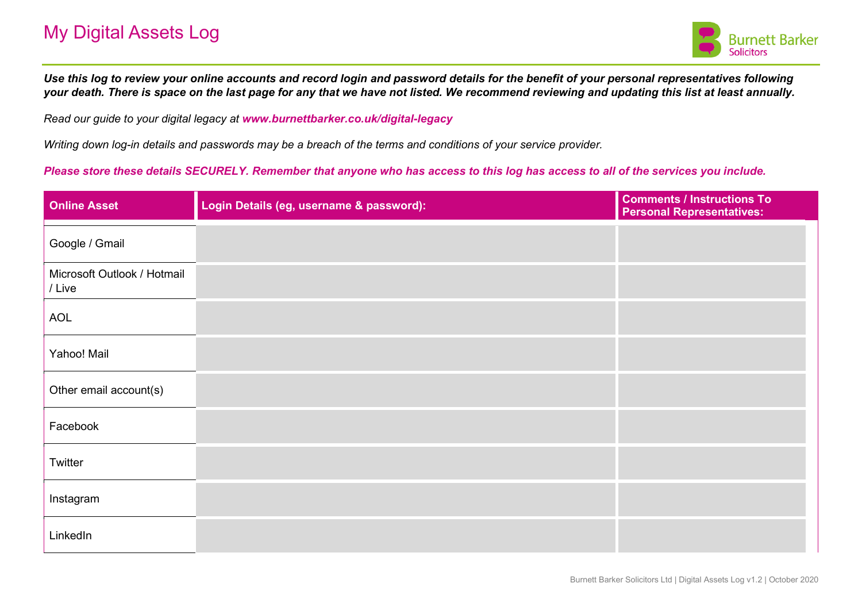

*Use this log to review your online accounts and record login and password details for the benefit of your personal representatives following your death. There is space on the last page for any that we have not listed. We recommend reviewing and updating this list at least annually.* 

*Read our guide to your digital legacy at www.burnettbarker.co.uk/digital-legacy*

*Writing down log-in details and passwords may be a breach of the terms and conditions of your service provider.* 

*Please store these details SECURELY. Remember that anyone who has access to this log has access to all of the services you include.*

| <b>Online Asset</b>                   | Login Details (eg, username & password): | <b>Comments / Instructions To</b><br><b>Personal Representatives:</b> |
|---------------------------------------|------------------------------------------|-----------------------------------------------------------------------|
| Google / Gmail                        |                                          |                                                                       |
| Microsoft Outlook / Hotmail<br>/ Live |                                          |                                                                       |
| <b>AOL</b>                            |                                          |                                                                       |
| Yahoo! Mail                           |                                          |                                                                       |
| Other email account(s)                |                                          |                                                                       |
| Facebook                              |                                          |                                                                       |
| Twitter                               |                                          |                                                                       |
| Instagram                             |                                          |                                                                       |
| LinkedIn                              |                                          |                                                                       |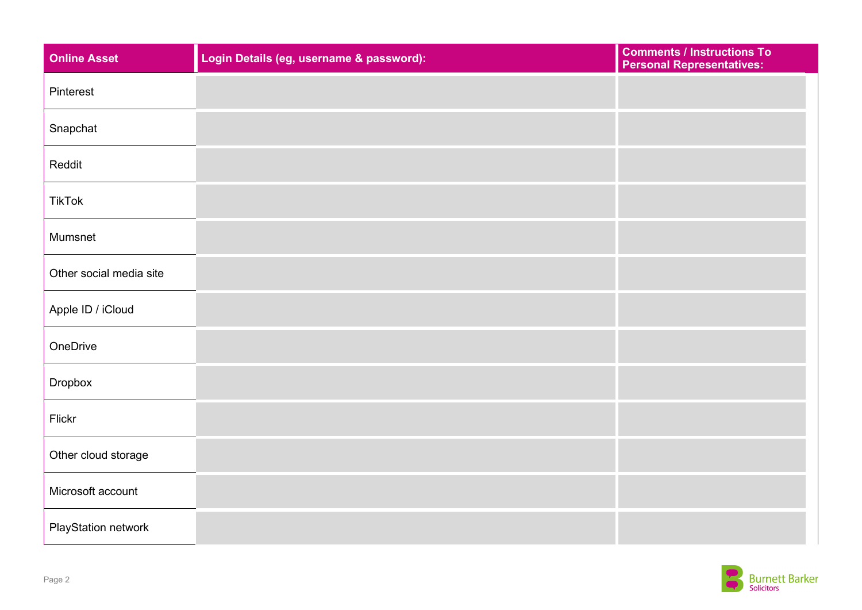| <b>Online Asset</b>        | Login Details (eg, username & password): | <b>Comments / Instructions To</b><br><b>Personal Representatives:</b> |
|----------------------------|------------------------------------------|-----------------------------------------------------------------------|
| Pinterest                  |                                          |                                                                       |
| Snapchat                   |                                          |                                                                       |
| Reddit                     |                                          |                                                                       |
| <b>TikTok</b>              |                                          |                                                                       |
| Mumsnet                    |                                          |                                                                       |
| Other social media site    |                                          |                                                                       |
| Apple ID / iCloud          |                                          |                                                                       |
| OneDrive                   |                                          |                                                                       |
| Dropbox                    |                                          |                                                                       |
| Flickr                     |                                          |                                                                       |
| Other cloud storage        |                                          |                                                                       |
| Microsoft account          |                                          |                                                                       |
| <b>PlayStation network</b> |                                          |                                                                       |

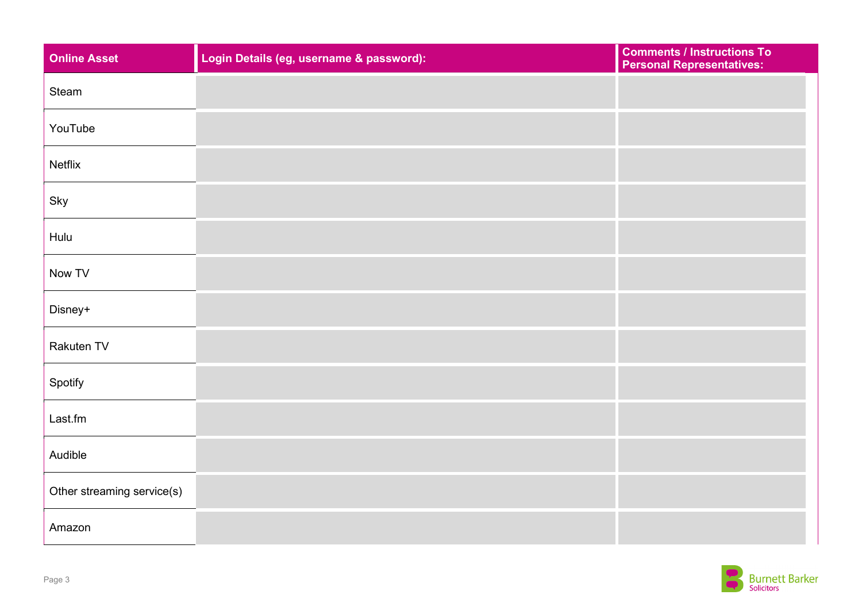| <b>Online Asset</b>        | Login Details (eg, username & password): | <b>Comments / Instructions To</b><br><b>Personal Representatives:</b> |
|----------------------------|------------------------------------------|-----------------------------------------------------------------------|
| Steam                      |                                          |                                                                       |
| YouTube                    |                                          |                                                                       |
| Netflix                    |                                          |                                                                       |
| Sky                        |                                          |                                                                       |
| Hulu                       |                                          |                                                                       |
| Now TV                     |                                          |                                                                       |
| Disney+                    |                                          |                                                                       |
| Rakuten TV                 |                                          |                                                                       |
| Spotify                    |                                          |                                                                       |
| Last.fm                    |                                          |                                                                       |
| Audible                    |                                          |                                                                       |
| Other streaming service(s) |                                          |                                                                       |
| Amazon                     |                                          |                                                                       |

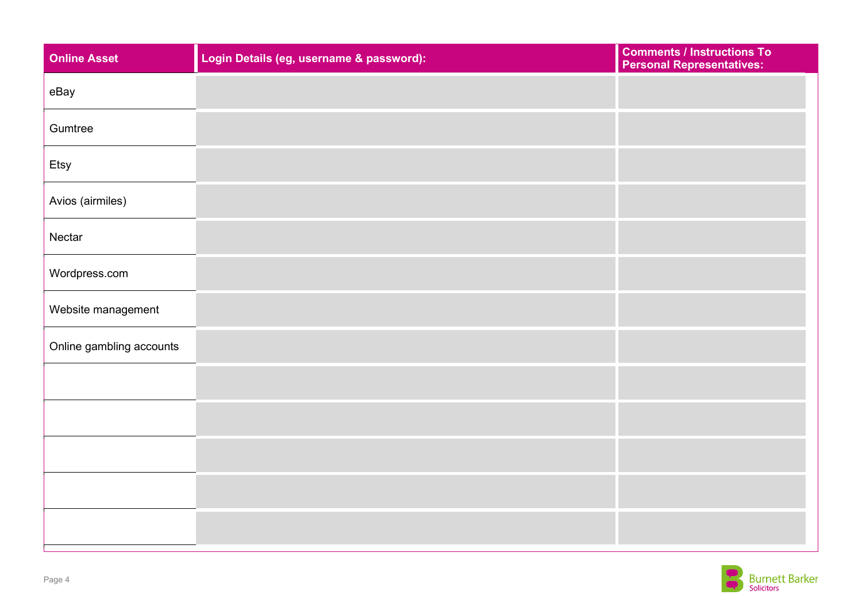| <b>Online Asset</b>      | Login Details (eg, username & password): | <b>Comments / Instructions To</b><br><b>Personal Representatives:</b> |
|--------------------------|------------------------------------------|-----------------------------------------------------------------------|
| eBay                     |                                          |                                                                       |
| Gumtree                  |                                          |                                                                       |
| Etsy                     |                                          |                                                                       |
| Avios (airmiles)         |                                          |                                                                       |
| Nectar                   |                                          |                                                                       |
| Wordpress.com            |                                          |                                                                       |
| Website management       |                                          |                                                                       |
| Online gambling accounts |                                          |                                                                       |
|                          |                                          |                                                                       |
|                          |                                          |                                                                       |
|                          |                                          |                                                                       |
|                          |                                          |                                                                       |
|                          |                                          |                                                                       |

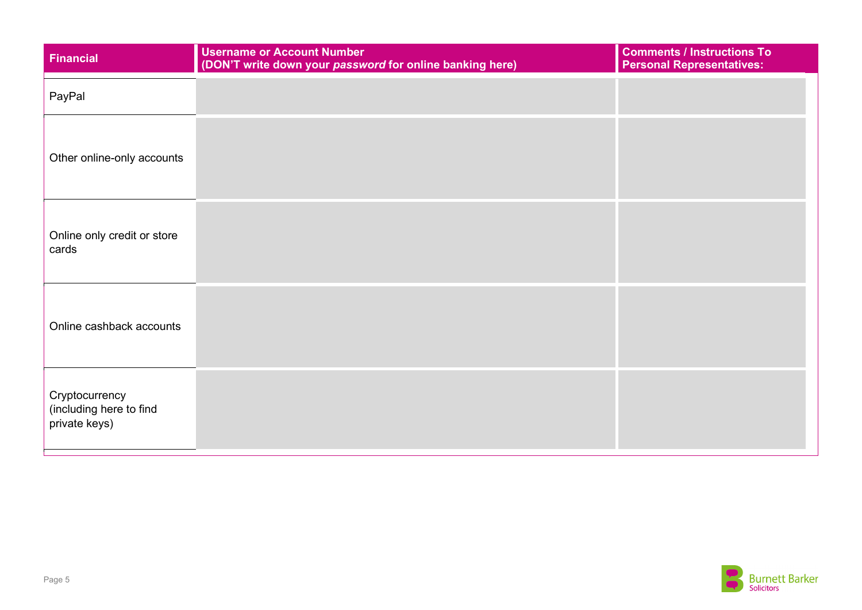| Financial                                                  | <b>Username or Account Number</b><br>(DON'T write down your password for online banking here) | <b>Comments / Instructions To</b><br><b>Personal Representatives:</b> |
|------------------------------------------------------------|-----------------------------------------------------------------------------------------------|-----------------------------------------------------------------------|
| PayPal                                                     |                                                                                               |                                                                       |
| Other online-only accounts                                 |                                                                                               |                                                                       |
| Online only credit or store<br>cards                       |                                                                                               |                                                                       |
| Online cashback accounts                                   |                                                                                               |                                                                       |
| Cryptocurrency<br>(including here to find<br>private keys) |                                                                                               |                                                                       |